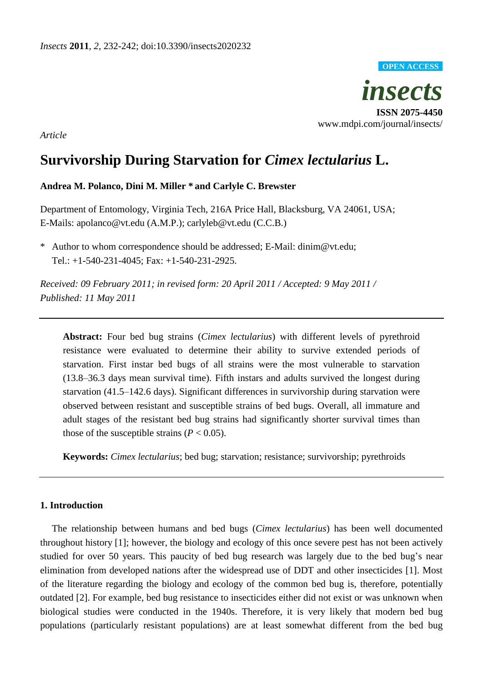# *insects* **ISSN 2075-4450** www.mdpi.com/journal/insects/ **OPEN ACCESS**

*Article*

## **Survivorship During Starvation for** *Cimex lectularius* **L.**

**Andrea M. Polanco, Dini M. Miller \* and Carlyle C. Brewster**

Department of Entomology, Virginia Tech, 216A Price Hall, Blacksburg, VA 24061, USA; E-Mails: apolanco@vt.edu (A.M.P.); carlyleb@vt.edu (C.C.B.)

\* Author to whom correspondence should be addressed; E-Mail: dinim@vt.edu; Tel.: +1-540-231-4045; Fax: +1-540-231-2925.

*Received: 09 February 2011; in revised form: 20 April 2011 / Accepted: 9 May 2011 / Published: 11 May 2011*

**Abstract:** Four bed bug strains (*Cimex lectularius*) with different levels of pyrethroid resistance were evaluated to determine their ability to survive extended periods of starvation. First instar bed bugs of all strains were the most vulnerable to starvation (13.8–36.3 days mean survival time). Fifth instars and adults survived the longest during starvation (41.5–142.6 days). Significant differences in survivorship during starvation were observed between resistant and susceptible strains of bed bugs. Overall, all immature and adult stages of the resistant bed bug strains had significantly shorter survival times than those of the susceptible strains  $(P < 0.05)$ .

**Keywords:** *Cimex lectularius*; bed bug; starvation; resistance; survivorship; pyrethroids

## **1. Introduction**

The relationship between humans and bed bugs (*Cimex lectularius*) has been well documented throughout history [1]; however, the biology and ecology of this once severe pest has not been actively studied for over 50 years. This paucity of bed bug research was largely due to the bed bug's near elimination from developed nations after the widespread use of DDT and other insecticides [1]. Most of the literature regarding the biology and ecology of the common bed bug is, therefore, potentially outdated [2]. For example, bed bug resistance to insecticides either did not exist or was unknown when biological studies were conducted in the 1940s. Therefore, it is very likely that modern bed bug populations (particularly resistant populations) are at least somewhat different from the bed bug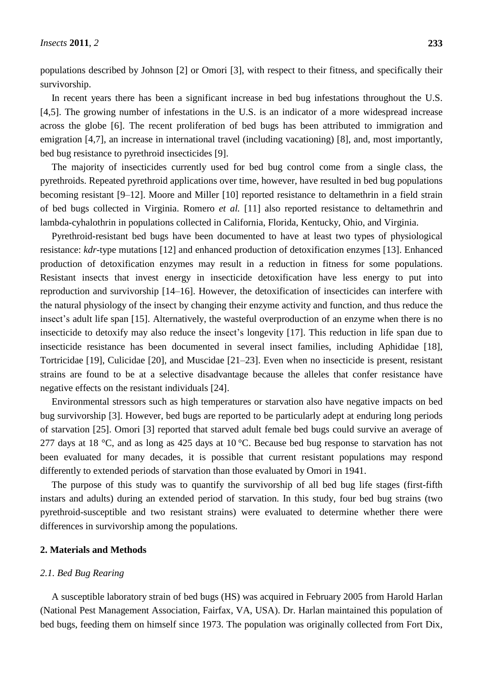populations described by Johnson [2] or Omori [3], with respect to their fitness, and specifically their survivorship.

In recent years there has been a significant increase in bed bug infestations throughout the U.S. [4,5]. The growing number of infestations in the U.S. is an indicator of a more widespread increase across the globe [6]. The recent proliferation of bed bugs has been attributed to immigration and emigration [4,7], an increase in international travel (including vacationing) [8], and, most importantly, bed bug resistance to pyrethroid insecticides [9].

The majority of insecticides currently used for bed bug control come from a single class, the pyrethroids. Repeated pyrethroid applications over time, however, have resulted in bed bug populations becoming resistant [9–12]. Moore and Miller [10] reported resistance to deltamethrin in a field strain of bed bugs collected in Virginia. Romero *et al.* [11] also reported resistance to deltamethrin and lambda-cyhalothrin in populations collected in California, Florida, Kentucky, Ohio, and Virginia.

Pyrethroid-resistant bed bugs have been documented to have at least two types of physiological resistance: *kdr*-type mutations [12] and enhanced production of detoxification enzymes [13]. Enhanced production of detoxification enzymes may result in a reduction in fitness for some populations. Resistant insects that invest energy in insecticide detoxification have less energy to put into reproduction and survivorship [14–16]. However, the detoxification of insecticides can interfere with the natural physiology of the insect by changing their enzyme activity and function, and thus reduce the insect's adult life span [15]. Alternatively, the wasteful overproduction of an enzyme when there is no insecticide to detoxify may also reduce the insect's longevity [17]. This reduction in life span due to insecticide resistance has been documented in several insect families, including Aphididae [18], Tortricidae [19], Culicidae [20], and Muscidae [21–23]. Even when no insecticide is present, resistant strains are found to be at a selective disadvantage because the alleles that confer resistance have negative effects on the resistant individuals [24].

Environmental stressors such as high temperatures or starvation also have negative impacts on bed bug survivorship [3]. However, bed bugs are reported to be particularly adept at enduring long periods of starvation [25]. Omori [3] reported that starved adult female bed bugs could survive an average of 277 days at 18 °C, and as long as 425 days at 10 °C. Because bed bug response to starvation has not been evaluated for many decades, it is possible that current resistant populations may respond differently to extended periods of starvation than those evaluated by Omori in 1941.

The purpose of this study was to quantify the survivorship of all bed bug life stages (first-fifth instars and adults) during an extended period of starvation. In this study, four bed bug strains (two pyrethroid-susceptible and two resistant strains) were evaluated to determine whether there were differences in survivorship among the populations.

## **2. Materials and Methods**

### *2.1. Bed Bug Rearing*

A susceptible laboratory strain of bed bugs (HS) was acquired in February 2005 from Harold Harlan (National Pest Management Association, Fairfax, VA, USA). Dr. Harlan maintained this population of bed bugs, feeding them on himself since 1973. The population was originally collected from Fort Dix,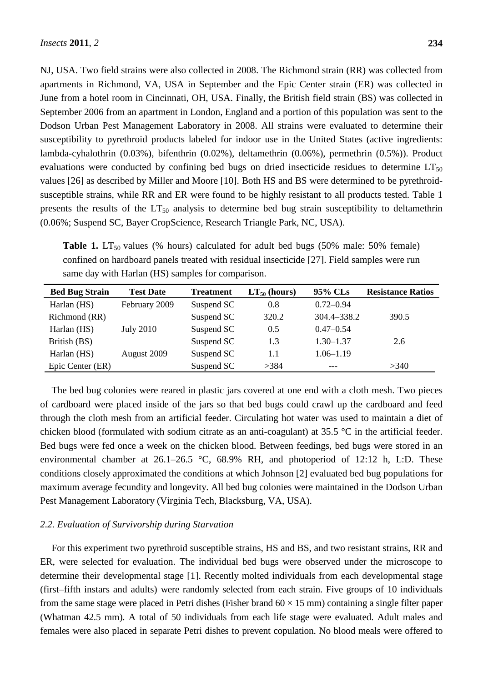NJ, USA. Two field strains were also collected in 2008. The Richmond strain (RR) was collected from apartments in Richmond, VA, USA in September and the Epic Center strain (ER) was collected in June from a hotel room in Cincinnati, OH, USA. Finally, the British field strain (BS) was collected in September 2006 from an apartment in London, England and a portion of this population was sent to the Dodson Urban Pest Management Laboratory in 2008. All strains were evaluated to determine their susceptibility to pyrethroid products labeled for indoor use in the United States (active ingredients: lambda-cyhalothrin (0.03%), bifenthrin (0.02%), deltamethrin (0.06%), permethrin (0.5%)). Product evaluations were conducted by confining bed bugs on dried insecticide residues to determine  $LT_{50}$ values [26] as described by Miller and Moore [10]. Both HS and BS were determined to be pyrethroidsusceptible strains, while RR and ER were found to be highly resistant to all products tested. Table 1 presents the results of the  $LT_{50}$  analysis to determine bed bug strain susceptibility to deltamethrin (0.06%; Suspend SC, Bayer CropScience, Research Triangle Park, NC, USA).

**Table 1.** LT<sub>50</sub> values (% hours) calculated for adult bed bugs (50% male: 50% female) confined on hardboard panels treated with residual insecticide [27]. Field samples were run same day with Harlan (HS) samples for comparison.

| <b>Bed Bug Strain</b> | <b>Test Date</b> | <b>Treatment</b> | $LT_{50}$ (hours) | 95% CLs       | <b>Resistance Ratios</b> |
|-----------------------|------------------|------------------|-------------------|---------------|--------------------------|
| Harlan (HS)           | February 2009    | Suspend SC       | 0.8               | $0.72 - 0.94$ |                          |
| Richmond (RR)         |                  | Suspend SC       | 320.2             | 304.4–338.2   | 390.5                    |
| Harlan (HS)           | <b>July 2010</b> | Suspend SC       | 0.5               | $0.47 - 0.54$ |                          |
| British (BS)          |                  | Suspend SC       | 1.3               | $1.30 - 1.37$ | 2.6                      |
| Harlan (HS)           | August 2009      | Suspend SC       | 1.1               | $1.06 - 1.19$ |                          |
| Epic Center (ER)      |                  | Suspend SC       | >384              |               | >340                     |
|                       |                  |                  |                   |               |                          |

The bed bug colonies were reared in plastic jars covered at one end with a cloth mesh. Two pieces of cardboard were placed inside of the jars so that bed bugs could crawl up the cardboard and feed through the cloth mesh from an artificial feeder. Circulating hot water was used to maintain a diet of chicken blood (formulated with sodium citrate as an anti-coagulant) at 35.5  $\degree$ C in the artificial feeder. Bed bugs were fed once a week on the chicken blood. Between feedings, bed bugs were stored in an environmental chamber at  $26.1-26.5$  °C,  $68.9\%$  RH, and photoperiod of 12:12 h, L:D. These conditions closely approximated the conditions at which Johnson [2] evaluated bed bug populations for maximum average fecundity and longevity. All bed bug colonies were maintained in the Dodson Urban Pest Management Laboratory (Virginia Tech, Blacksburg, VA, USA).

#### *2.2. Evaluation of Survivorship during Starvation*

For this experiment two pyrethroid susceptible strains, HS and BS, and two resistant strains, RR and ER, were selected for evaluation. The individual bed bugs were observed under the microscope to determine their developmental stage [1]. Recently molted individuals from each developmental stage (first–fifth instars and adults) were randomly selected from each strain. Five groups of 10 individuals from the same stage were placed in Petri dishes (Fisher brand  $60 \times 15$  mm) containing a single filter paper (Whatman 42.5 mm). A total of 50 individuals from each life stage were evaluated. Adult males and females were also placed in separate Petri dishes to prevent copulation. No blood meals were offered to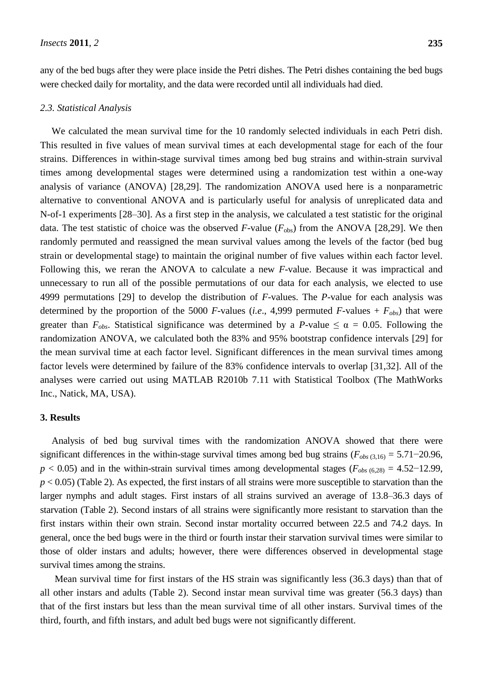any of the bed bugs after they were place inside the Petri dishes. The Petri dishes containing the bed bugs were checked daily for mortality, and the data were recorded until all individuals had died.

#### *2.3. Statistical Analysis*

We calculated the mean survival time for the 10 randomly selected individuals in each Petri dish. This resulted in five values of mean survival times at each developmental stage for each of the four strains. Differences in within-stage survival times among bed bug strains and within-strain survival times among developmental stages were determined using a randomization test within a one-way analysis of variance (ANOVA) [28,29]. The randomization ANOVA used here is a nonparametric alternative to conventional ANOVA and is particularly useful for analysis of unreplicated data and N-of-1 experiments [28–30]. As a first step in the analysis, we calculated a test statistic for the original data. The test statistic of choice was the observed *F*-value  $(F_{obs})$  from the ANOVA [28,29]. We then randomly permuted and reassigned the mean survival values among the levels of the factor (bed bug strain or developmental stage) to maintain the original number of five values within each factor level. Following this, we reran the ANOVA to calculate a new *F*-value. Because it was impractical and unnecessary to run all of the possible permutations of our data for each analysis, we elected to use 4999 permutations [29] to develop the distribution of *F*-values. The *P*-value for each analysis was determined by the proportion of the 5000 *F*-values (*i.e.*, 4,999 permuted *F*-values +  $F_{obs}$ ) that were greater than  $F_{obs}$ . Statistical significance was determined by a *P*-value  $\leq \alpha = 0.05$ . Following the randomization ANOVA, we calculated both the 83% and 95% bootstrap confidence intervals [29] for the mean survival time at each factor level. Significant differences in the mean survival times among factor levels were determined by failure of the 83% confidence intervals to overlap [31,32]. All of the analyses were carried out using MATLAB R2010b 7.11 with Statistical Toolbox (The MathWorks Inc., Natick, MA, USA).

#### **3. Results**

Analysis of bed bug survival times with the randomization ANOVA showed that there were significant differences in the within-stage survival times among bed bug strains (*Fobs* (3,16) = 5.71−20.96, *p* < 0.05) and in the within-strain survival times among developmental stages ( $F_{obs (6,28)}$  = 4.52−12.99, *p* < 0.05) (Table 2). As expected, the first instars of all strains were more susceptible to starvation than the larger nymphs and adult stages. First instars of all strains survived an average of 13.8–36.3 days of starvation (Table 2). Second instars of all strains were significantly more resistant to starvation than the first instars within their own strain. Second instar mortality occurred between 22.5 and 74.2 days. In general, once the bed bugs were in the third or fourth instar their starvation survival times were similar to those of older instars and adults; however, there were differences observed in developmental stage survival times among the strains.

Mean survival time for first instars of the HS strain was significantly less (36.3 days) than that of all other instars and adults (Table 2). Second instar mean survival time was greater (56.3 days) than that of the first instars but less than the mean survival time of all other instars. Survival times of the third, fourth, and fifth instars, and adult bed bugs were not significantly different.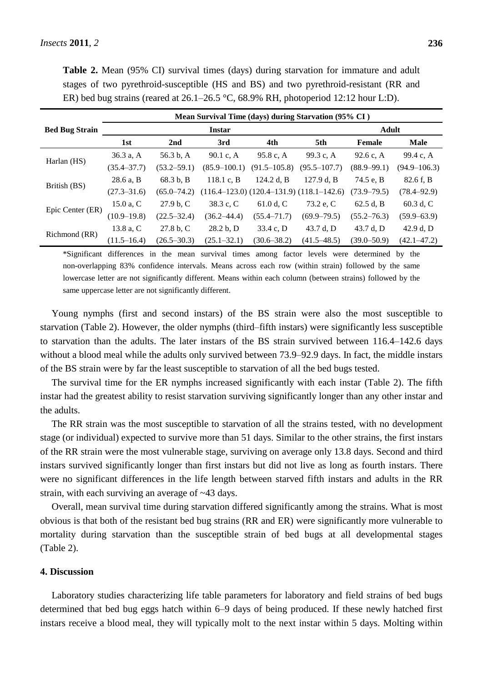**Table 2.** Mean (95% CI) survival times (days) during starvation for immature and adult stages of two pyrethroid-susceptible (HS and BS) and two pyrethroid-resistant (RR and ER) bed bug strains (reared at 26.1–26.5 °C, 68.9% RH, photoperiod 12:12 hour L:D).

|                       | Mean Survival Time (days) during Starvation (95% CI) |                 |                  |                  |                                                       |                 |                  |  |  |  |
|-----------------------|------------------------------------------------------|-----------------|------------------|------------------|-------------------------------------------------------|-----------------|------------------|--|--|--|
| <b>Bed Bug Strain</b> | <b>Instar</b>                                        |                 |                  |                  |                                                       | Adult           |                  |  |  |  |
|                       | 1st                                                  | 2 <sub>nd</sub> | 3rd              | 4th              | 5th                                                   | Female          | Male             |  |  |  |
| Harlan (HS)           | 36.3 a, A                                            | 56.3 b, A       | 90.1 c, $A$      | 95.8 c, A        | 99.3 c, A                                             | 92.6 c, $A$     | 99.4 c, A        |  |  |  |
|                       | $(35.4 - 37.7)$                                      | $(53.2 - 59.1)$ | $(85.9 - 100.1)$ | $(91.5 - 105.8)$ | $(95.5 - 107.7)$                                      | $(88.9 - 99.1)$ | $(94.9 - 106.3)$ |  |  |  |
| British (BS)          | 28.6 a, B                                            | 68.3 b, B       | 118.1 c, $B$     | 124.2 d, $B$     | $127.9$ d, B                                          | 74.5 e, B       | 82.6 f, B        |  |  |  |
|                       | $(27.3 - 31.6)$                                      | $(65.0 - 74.2)$ |                  |                  | $(116.4 - 123.0)$ $(120.4 - 131.9)$ $(118.1 - 142.6)$ | $(73.9 - 79.5)$ | $(78.4 - 92.9)$  |  |  |  |
| Epic Center (ER)      | 15.0 a, C                                            | 27.9 b, C       | 38.3 c, C        | 61.0 d, C        | 73.2 e, C                                             | $62.5$ d, B     | 60.3 d, C        |  |  |  |
|                       | $(10.9 - 19.8)$                                      | $(22.5 - 32.4)$ | $(36.2 - 44.4)$  | $(55.4 - 71.7)$  | $(69.9 - 79.5)$                                       | $(55.2 - 76.3)$ | $(59.9 - 63.9)$  |  |  |  |
| Richmond (RR)         | 13.8 a, C                                            | 27.8 b, C       | 28.2 b, D        | 33.4 c, D        | 43.7 d, $D$                                           | 43.7 d, $D$     | 42.9 d, D        |  |  |  |
|                       | $(11.5 - 16.4)$                                      | $(26.5 - 30.3)$ | $(25.1 - 32.1)$  | $(30.6 - 38.2)$  | $(41.5 - 48.5)$                                       | $(39.0 - 50.9)$ | $(42.1 - 47.2)$  |  |  |  |

\*Significant differences in the mean survival times among factor levels were determined by the non-overlapping 83% confidence intervals. Means across each row (within strain) followed by the same lowercase letter are not significantly different. Means within each column (between strains) followed by the same uppercase letter are not significantly different.

Young nymphs (first and second instars) of the BS strain were also the most susceptible to starvation (Table 2). However, the older nymphs (third–fifth instars) were significantly less susceptible to starvation than the adults. The later instars of the BS strain survived between 116.4–142.6 days without a blood meal while the adults only survived between 73.9–92.9 days. In fact, the middle instars of the BS strain were by far the least susceptible to starvation of all the bed bugs tested.

The survival time for the ER nymphs increased significantly with each instar (Table 2). The fifth instar had the greatest ability to resist starvation surviving significantly longer than any other instar and the adults.

The RR strain was the most susceptible to starvation of all the strains tested, with no development stage (or individual) expected to survive more than 51 days. Similar to the other strains, the first instars of the RR strain were the most vulnerable stage, surviving on average only 13.8 days. Second and third instars survived significantly longer than first instars but did not live as long as fourth instars. There were no significant differences in the life length between starved fifth instars and adults in the RR strain, with each surviving an average of ~43 days.

Overall, mean survival time during starvation differed significantly among the strains. What is most obvious is that both of the resistant bed bug strains (RR and ER) were significantly more vulnerable to mortality during starvation than the susceptible strain of bed bugs at all developmental stages (Table 2).

## **4. Discussion**

Laboratory studies characterizing life table parameters for laboratory and field strains of bed bugs determined that bed bug eggs hatch within 6–9 days of being produced. If these newly hatched first instars receive a blood meal, they will typically molt to the next instar within 5 days. Molting within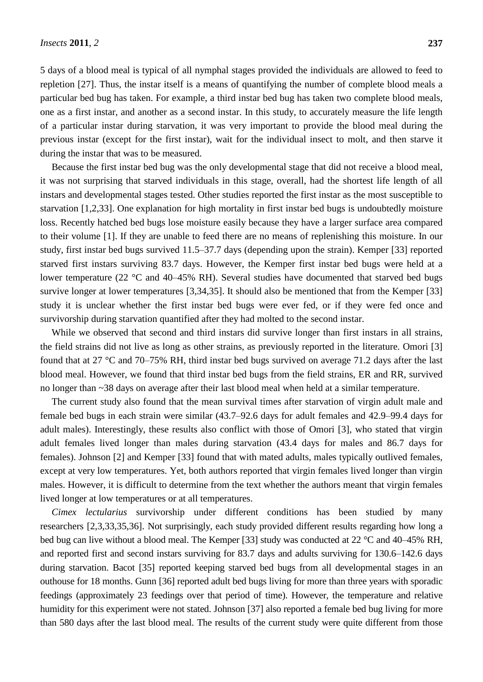5 days of a blood meal is typical of all nymphal stages provided the individuals are allowed to feed to repletion [27]. Thus, the instar itself is a means of quantifying the number of complete blood meals a particular bed bug has taken. For example, a third instar bed bug has taken two complete blood meals, one as a first instar, and another as a second instar. In this study, to accurately measure the life length of a particular instar during starvation, it was very important to provide the blood meal during the previous instar (except for the first instar), wait for the individual insect to molt, and then starve it during the instar that was to be measured.

Because the first instar bed bug was the only developmental stage that did not receive a blood meal, it was not surprising that starved individuals in this stage, overall, had the shortest life length of all instars and developmental stages tested. Other studies reported the first instar as the most susceptible to starvation [1,2,33]. One explanation for high mortality in first instar bed bugs is undoubtedly moisture loss. Recently hatched bed bugs lose moisture easily because they have a larger surface area compared to their volume [1]. If they are unable to feed there are no means of replenishing this moisture. In our study, first instar bed bugs survived 11.5–37.7 days (depending upon the strain). Kemper [33] reported starved first instars surviving 83.7 days. However, the Kemper first instar bed bugs were held at a lower temperature (22  $\degree$ C and 40–45% RH). Several studies have documented that starved bed bugs survive longer at lower temperatures [3,34,35]. It should also be mentioned that from the Kemper [33] study it is unclear whether the first instar bed bugs were ever fed, or if they were fed once and survivorship during starvation quantified after they had molted to the second instar.

While we observed that second and third instars did survive longer than first instars in all strains, the field strains did not live as long as other strains, as previously reported in the literature. Omori [3] found that at 27  $\degree$ C and 70–75% RH, third instar bed bugs survived on average 71.2 days after the last blood meal. However, we found that third instar bed bugs from the field strains, ER and RR, survived no longer than ~38 days on average after their last blood meal when held at a similar temperature.

The current study also found that the mean survival times after starvation of virgin adult male and female bed bugs in each strain were similar (43.7–92.6 days for adult females and 42.9–99.4 days for adult males). Interestingly, these results also conflict with those of Omori [3], who stated that virgin adult females lived longer than males during starvation (43.4 days for males and 86.7 days for females). Johnson [2] and Kemper [33] found that with mated adults, males typically outlived females, except at very low temperatures. Yet, both authors reported that virgin females lived longer than virgin males. However, it is difficult to determine from the text whether the authors meant that virgin females lived longer at low temperatures or at all temperatures.

*Cimex lectularius* survivorship under different conditions has been studied by many researchers [2,3,33,35,36]. Not surprisingly, each study provided different results regarding how long a bed bug can live without a blood meal. The Kemper [33] study was conducted at 22  $\degree$ C and 40–45% RH, and reported first and second instars surviving for 83.7 days and adults surviving for 130.6–142.6 days during starvation. Bacot [35] reported keeping starved bed bugs from all developmental stages in an outhouse for 18 months. Gunn [36] reported adult bed bugs living for more than three years with sporadic feedings (approximately 23 feedings over that period of time). However, the temperature and relative humidity for this experiment were not stated. Johnson [37] also reported a female bed bug living for more than 580 days after the last blood meal. The results of the current study were quite different from those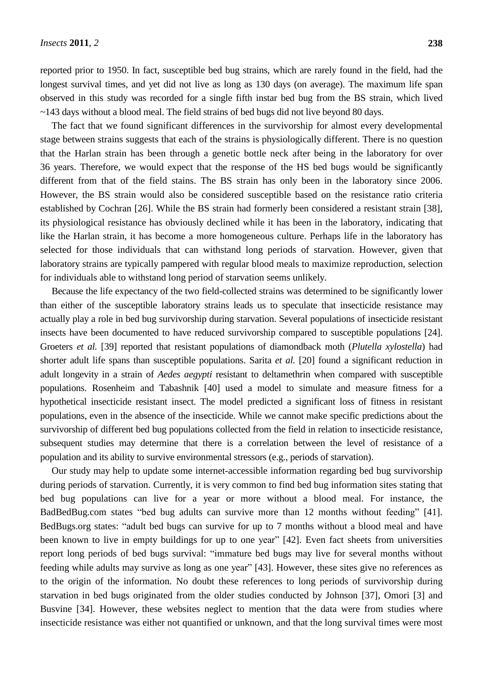reported prior to 1950. In fact, susceptible bed bug strains, which are rarely found in the field, had the longest survival times, and yet did not live as long as 130 days (on average). The maximum life span observed in this study was recorded for a single fifth instar bed bug from the BS strain, which lived  $\sim$ 143 days without a blood meal. The field strains of bed bugs did not live beyond 80 days.

The fact that we found significant differences in the survivorship for almost every developmental stage between strains suggests that each of the strains is physiologically different. There is no question that the Harlan strain has been through a genetic bottle neck after being in the laboratory for over 36 years. Therefore, we would expect that the response of the HS bed bugs would be significantly different from that of the field stains. The BS strain has only been in the laboratory since 2006. However, the BS strain would also be considered susceptible based on the resistance ratio criteria established by Cochran [26]. While the BS strain had formerly been considered a resistant strain [38], its physiological resistance has obviously declined while it has been in the laboratory, indicating that like the Harlan strain, it has become a more homogeneous culture. Perhaps life in the laboratory has selected for those individuals that can withstand long periods of starvation. However, given that laboratory strains are typically pampered with regular blood meals to maximize reproduction, selection for individuals able to withstand long period of starvation seems unlikely.

Because the life expectancy of the two field-collected strains was determined to be significantly lower than either of the susceptible laboratory strains leads us to speculate that insecticide resistance may actually play a role in bed bug survivorship during starvation. Several populations of insecticide resistant insects have been documented to have reduced survivorship compared to susceptible populations [24]. Groeters *et al.* [39] reported that resistant populations of diamondback moth (*Plutella xylostella*) had shorter adult life spans than susceptible populations. Sarita *et al.* [20] found a significant reduction in adult longevity in a strain of *Aedes aegypti* resistant to deltamethrin when compared with susceptible populations. Rosenheim and Tabashnik [40] used a model to simulate and measure fitness for a hypothetical insecticide resistant insect. The model predicted a significant loss of fitness in resistant populations, even in the absence of the insecticide. While we cannot make specific predictions about the survivorship of different bed bug populations collected from the field in relation to insecticide resistance, subsequent studies may determine that there is a correlation between the level of resistance of a population and its ability to survive environmental stressors (e.g., periods of starvation).

Our study may help to update some internet-accessible information regarding bed bug survivorship during periods of starvation. Currently, it is very common to find bed bug information sites stating that bed bug populations can live for a year or more without a blood meal. For instance, the BadBedBug.com states "bed bug adults can survive more than 12 months without feeding" [41]. BedBugs.org states: "adult bed bugs can survive for up to 7 months without a blood meal and have been known to live in empty buildings for up to one year" [42]. Even fact sheets from universities report long periods of bed bugs survival: "immature bed bugs may live for several months without feeding while adults may survive as long as one year" [43]. However, these sites give no references as to the origin of the information. No doubt these references to long periods of survivorship during starvation in bed bugs originated from the older studies conducted by Johnson [37], Omori [3] and Busvine [34]. However, these websites neglect to mention that the data were from studies where insecticide resistance was either not quantified or unknown, and that the long survival times were most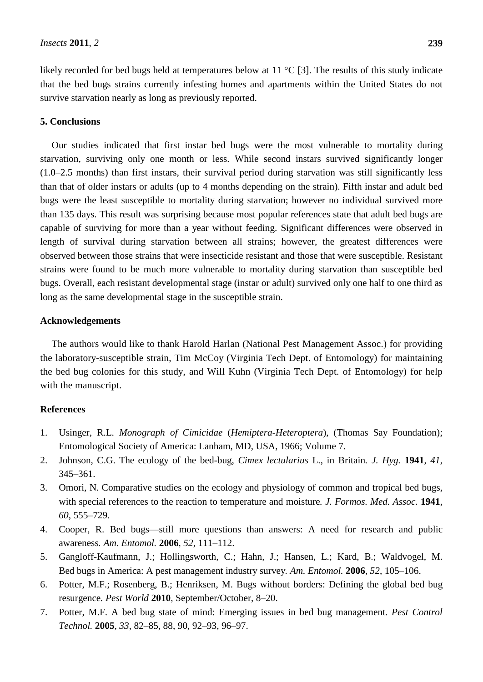likely recorded for bed bugs held at temperatures below at 11  $\degree$ C [3]. The results of this study indicate that the bed bugs strains currently infesting homes and apartments within the United States do not survive starvation nearly as long as previously reported.

## **5. Conclusions**

Our studies indicated that first instar bed bugs were the most vulnerable to mortality during starvation, surviving only one month or less. While second instars survived significantly longer (1.0–2.5 months) than first instars, their survival period during starvation was still significantly less than that of older instars or adults (up to 4 months depending on the strain). Fifth instar and adult bed bugs were the least susceptible to mortality during starvation; however no individual survived more than 135 days. This result was surprising because most popular references state that adult bed bugs are capable of surviving for more than a year without feeding. Significant differences were observed in length of survival during starvation between all strains; however, the greatest differences were observed between those strains that were insecticide resistant and those that were susceptible. Resistant strains were found to be much more vulnerable to mortality during starvation than susceptible bed bugs. Overall, each resistant developmental stage (instar or adult) survived only one half to one third as long as the same developmental stage in the susceptible strain.

#### **Acknowledgements**

The authors would like to thank Harold Harlan (National Pest Management Assoc.) for providing the laboratory-susceptible strain, Tim McCoy (Virginia Tech Dept. of Entomology) for maintaining the bed bug colonies for this study, and Will Kuhn (Virginia Tech Dept. of Entomology) for help with the manuscript.

## **References**

- 1. Usinger, R.L. *Monograph of Cimicidae* (*Hemiptera-Heteroptera*), (Thomas Say Foundation); Entomological Society of America: Lanham, MD, USA, 1966; Volume 7.
- 2. Johnson, C.G. The ecology of the bed-bug, *Cimex lectularius* L., in Britain*. J. Hyg.* **1941**, *41*, 345–361.
- 3. Omori, N. Comparative studies on the ecology and physiology of common and tropical bed bugs, with special references to the reaction to temperature and moisture*. J. Formos. Med. Assoc.* **1941**, *60*, 555–729.
- 4. Cooper, R. Bed bugs—still more questions than answers: A need for research and public awareness*. Am. Entomol.* **2006**, *52*, 111–112.
- 5. Gangloff-Kaufmann, J.; Hollingsworth, C.; Hahn, J.; Hansen, L.; Kard, B.; Waldvogel, M. Bed bugs in America: A pest management industry survey*. Am. Entomol.* **2006**, *52*, 105–106.
- 6. Potter, M.F.; Rosenberg, B.; Henriksen, M. Bugs without borders: Defining the global bed bug resurgence*. Pest World* **2010**, September/October, 8–20.
- 7. Potter, M.F. A bed bug state of mind: Emerging issues in bed bug management*. Pest Control Technol.* **2005**, *33*, 82–85, 88, 90, 92–93, 96–97.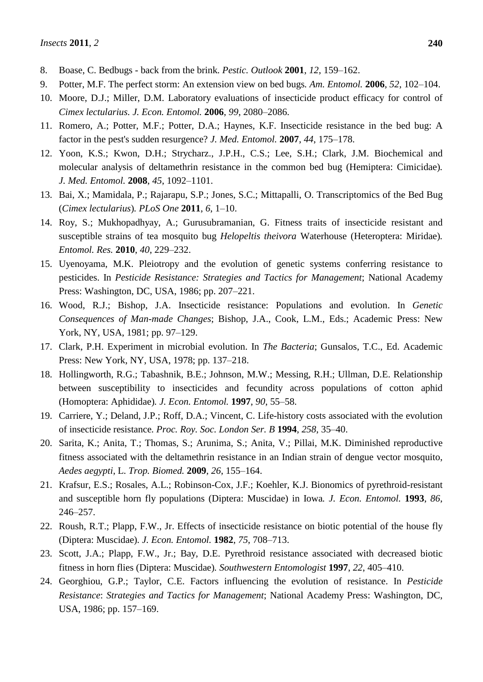- 8. Boase, C. Bedbugs back from the brink*. Pestic. Outlook* **2001**, *12*, 159–162.
- 9. Potter, M.F. The perfect storm: An extension view on bed bugs*. Am. Entomol.* **2006**, *52*, 102–104.
- 10. Moore, D.J.; Miller, D.M. Laboratory evaluations of insecticide product efficacy for control of *Cimex lectularius. J. Econ. Entomol.* **2006**, *99*, 2080–2086.
- 11. Romero, A.; Potter, M.F.; Potter, D.A.; Haynes, K.F. Insecticide resistance in the bed bug: A factor in the pest's sudden resurgence? *J. Med. Entomol.* **2007**, *44*, 175–178.
- 12. Yoon, K.S.; Kwon, D.H.; Strycharz., J.P.H., C.S.; Lee, S.H.; Clark, J.M. Biochemical and molecular analysis of deltamethrin resistance in the common bed bug (Hemiptera: Cimicidae)*. J. Med. Entomol.* **2008**, *45*, 1092–1101.
- 13. Bai, X.; Mamidala, P.; Rajarapu, S.P.; Jones, S.C.; Mittapalli, O. Transcriptomics of the Bed Bug (*Cimex lectularius*)*. PLoS One* **2011**, *6*, 1–10.
- 14. Roy, S.; Mukhopadhyay, A.; Gurusubramanian, G. Fitness traits of insecticide resistant and susceptible strains of tea mosquito bug *Helopeltis theivora* Waterhouse (Heteroptera: Miridae)*. Entomol. Res.* **2010**, *40*, 229–232.
- 15. Uyenoyama, M.K. Pleiotropy and the evolution of genetic systems conferring resistance to pesticides. In *Pesticide Resistance: Strategies and Tactics for Management*; National Academy Press: Washington, DC, USA, 1986; pp. 207–221.
- 16. Wood, R.J.; Bishop, J.A. Insecticide resistance: Populations and evolution. In *Genetic Consequences of Man-made Changes*; Bishop, J.A., Cook, L.M., Eds.; Academic Press: New York, NY, USA, 1981; pp. 97–129.
- 17. Clark, P.H. Experiment in microbial evolution. In *The Bacteria*; Gunsalos, T.C., Ed. Academic Press: New York, NY, USA, 1978; pp. 137–218.
- 18. Hollingworth, R.G.; Tabashnik, B.E.; Johnson, M.W.; Messing, R.H.; Ullman, D.E. Relationship between susceptibility to insecticides and fecundity across populations of cotton aphid (Homoptera: Aphididae)*. J. Econ. Entomol.* **1997**, *90*, 55–58.
- 19. Carriere, Y.; Deland, J.P.; Roff, D.A.; Vincent, C. Life-history costs associated with the evolution of insecticide resistance*. Proc. Roy. Soc. London Ser. B* **1994**, *258*, 35–40.
- 20. Sarita, K.; Anita, T.; Thomas, S.; Arunima, S.; Anita, V.; Pillai, M.K. Diminished reproductive fitness associated with the deltamethrin resistance in an Indian strain of dengue vector mosquito, *Aedes aegypti*, L. *Trop. Biomed.* **2009**, *26*, 155–164.
- 21. Krafsur, E.S.; Rosales, A.L.; Robinson-Cox, J.F.; Koehler, K.J. Bionomics of pyrethroid-resistant and susceptible horn fly populations (Diptera: Muscidae) in Iowa*. J. Econ. Entomol.* **1993**, *86*, 246–257.
- 22. Roush, R.T.; Plapp, F.W., Jr. Effects of insecticide resistance on biotic potential of the house fly (Diptera: Muscidae)*. J. Econ. Entomol.* **1982**, *75*, 708–713.
- 23. Scott, J.A.; Plapp, F.W., Jr.; Bay, D.E. Pyrethroid resistance associated with decreased biotic fitness in horn flies (Diptera: Muscidae)*. Southwestern Entomologist* **1997**, *22*, 405–410.
- 24. Georghiou, G.P.; Taylor, C.E. Factors influencing the evolution of resistance. In *Pesticide Resistance*: *Strategies and Tactics for Management*; National Academy Press: Washington, DC, USA, 1986; pp. 157–169.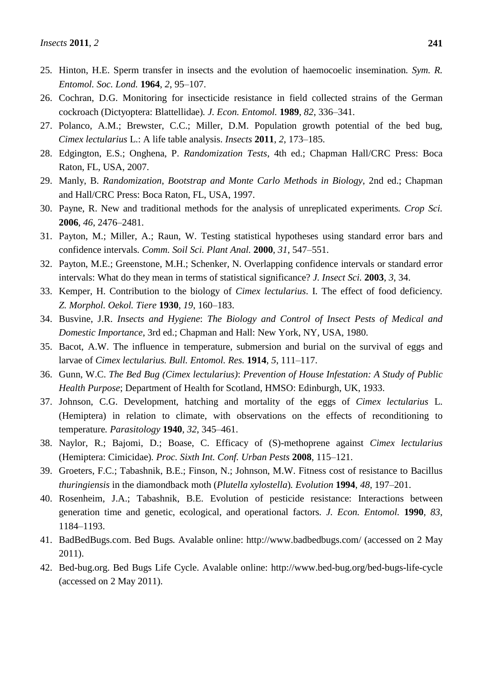- 25. Hinton, H.E. Sperm transfer in insects and the evolution of haemocoelic insemination*. Sym. R. Entomol. Soc. Lond.* **1964**, *2*, 95–107.
- 26. Cochran, D.G. Monitoring for insecticide resistance in field collected strains of the German cockroach (Dictyoptera: Blattellidae)*. J. Econ. Entomol.* **1989**, *82*, 336–341.
- 27. Polanco, A.M.; Brewster, C.C.; Miller, D.M. Population growth potential of the bed bug, *Cimex lectularius* L.: A life table analysis. *Insects* **2011**, *2*, 173–185.
- 28. Edgington, E.S.; Onghena, P. *Randomization Tests*, 4th ed.; Chapman Hall/CRC Press: Boca Raton, FL, USA, 2007.
- 29. Manly, B. *Randomization*, *Bootstrap and Monte Carlo Methods in Biology*, 2nd ed.; Chapman and Hall/CRC Press: Boca Raton, FL, USA, 1997.
- 30. Payne, R. New and traditional methods for the analysis of unreplicated experiments*. Crop Sci.* **2006**, *46*, 2476–2481.
- 31. Payton, M.; Miller, A.; Raun, W. Testing statistical hypotheses using standard error bars and confidence intervals*. Comm. Soil Sci. Plant Anal.* **2000**, *31*, 547–551.
- 32. Payton, M.E.; Greenstone, M.H.; Schenker, N. Overlapping confidence intervals or standard error intervals: What do they mean in terms of statistical significance? *J. Insect Sci.* **2003**, *3*, 34.
- 33. Kemper, H. Contribution to the biology of *Cimex lectularius*. I. The effect of food deficiency*. Z. Morphol. Oekol. Tiere* **1930**, *19*, 160–183.
- 34. Busvine, J.R. *Insects and Hygiene*: *The Biology and Control of Insect Pests of Medical and Domestic Importance*, 3rd ed.; Chapman and Hall: New York, NY, USA, 1980.
- 35. Bacot, A.W. The influence in temperature, submersion and burial on the survival of eggs and larvae of *Cimex lectularius. Bull. Entomol. Res.* **1914**, *5*, 111–117.
- 36. Gunn, W.C. *The Bed Bug (Cimex lectularius)*: *Prevention of House Infestation: A Study of Public Health Purpose*; Department of Health for Scotland, HMSO: Edinburgh, UK, 1933.
- 37. Johnson, C.G. Development, hatching and mortality of the eggs of *Cimex lectularius* L. (Hemiptera) in relation to climate, with observations on the effects of reconditioning to temperature*. Parasitology* **1940**, *32*, 345–461.
- 38. Naylor, R.; Bajomi, D.; Boase, C. Efficacy of (S)-methoprene against *Cimex lectularius* (Hemiptera: Cimicidae)*. Proc. Sixth Int. Conf. Urban Pests* **2008**, 115–121.
- 39. Groeters, F.C.; Tabashnik, B.E.; Finson, N.; Johnson, M.W. Fitness cost of resistance to Bacillus *thuringiensis* in the diamondback moth (*Plutella xylostella*)*. Evolution* **1994**, *48*, 197–201.
- 40. Rosenheim, J.A.; Tabashnik, B.E. Evolution of pesticide resistance: Interactions between generation time and genetic, ecological, and operational factors*. J. Econ. Entomol.* **1990**, *83*, 1184–1193.
- 41. BadBedBugs.com. Bed Bugs*.* Avalable online: http://www.badbedbugs.com/ (accessed on 2 May 2011).
- 42. Bed-bug.org. Bed Bugs Life Cycle. Avalable online: http://www.bed-bug.org/bed-bugs-life-cycle (accessed on 2 May 2011).